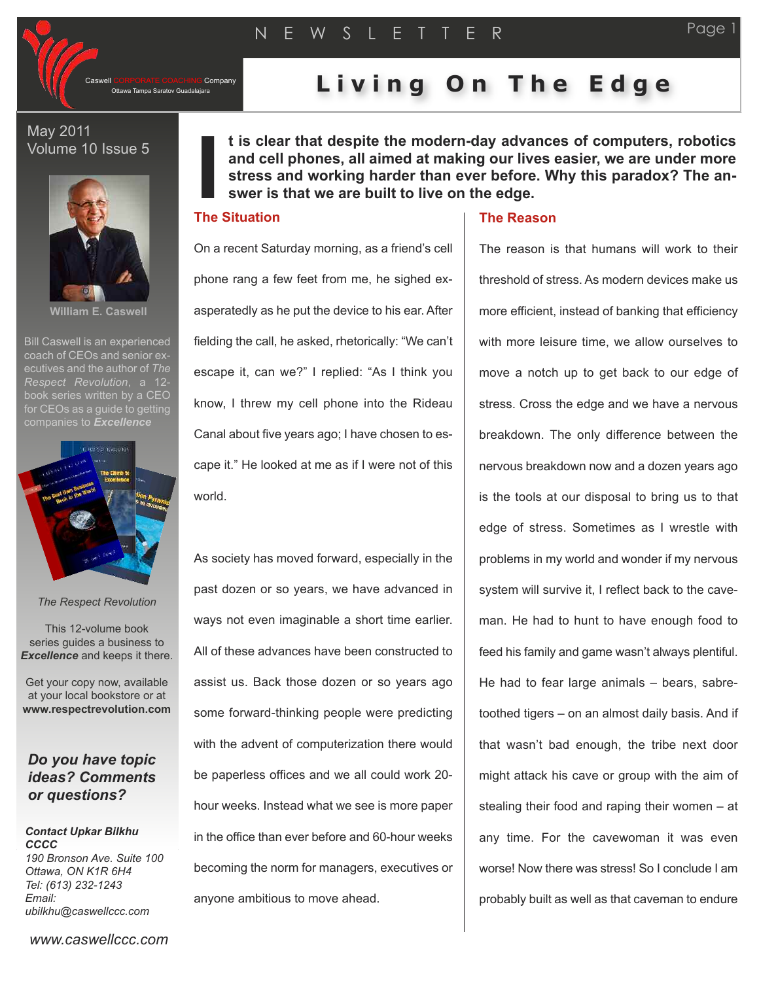

Company

## Ottawa Tampa Saratov Guadalajara **L i v i n g O n T h e E d g e**

May 2011 Volume 10 Issue 5



**William E. Caswell**

Bill Caswell is an experienced coach of CEOs and senior executives and the author of *The Respect Revolution*, a 12 book series written by a CEO for CEOs as a quide to getting



*The Respect Revolution*

This 12-volume book series guides a business to *Excellence* and keeps it there.

Get your copy now, available at your local bookstore or at **www.respectrevolution.com**

### *Do you have topic ideas? Comments or questions?*

*Contact Upkar Bilkhu CCCC 190 Bronson Ave. Suite 100 Ottawa, ON K1R 6H4 Tel: (613) 232-1243 Email: ubilkhu@caswellccc.com*

**t is clear that despite the modern-day advances of computers, robotics and cell phones, all aimed at making our lives easier, we are under more stress and working harder than ever before. Why this paradox? The answer is that we are built to live on the edge.**

# **I The Situation**

On a recent Saturday morning, as a friend's cell phone rang a few feet from me, he sighed exasperatedly as he put the device to his ear. After fielding the call, he asked, rhetorically: "We can't escape it, can we?" I replied: "As I think you know, I threw my cell phone into the Rideau Canal about five years ago; I have chosen to escape it." He looked at me as if I were not of this world.

As society has moved forward, especially in the past dozen or so years, we have advanced in ways not even imaginable a short time earlier. All of these advances have been constructed to assist us. Back those dozen or so years ago some forward-thinking people were predicting with the advent of computerization there would be paperless offices and we all could work 20 hour weeks. Instead what we see is more paper in the office than ever before and 60-hour weeks becoming the norm for managers, executives or anyone ambitious to move ahead.

### **The Reason**

The reason is that humans will work to their threshold of stress. As modern devices make us more efficient, instead of banking that efficiency with more leisure time, we allow ourselves to move a notch up to get back to our edge of stress. Cross the edge and we have a nervous breakdown. The only difference between the nervous breakdown now and a dozen years ago is the tools at our disposal to bring us to that edge of stress. Sometimes as I wrestle with problems in my world and wonder if my nervous system will survive it, I reflect back to the caveman. He had to hunt to have enough food to feed his family and game wasn't always plentiful. He had to fear large animals – bears, sabretoothed tigers – on an almost daily basis. And if that wasn't bad enough, the tribe next door might attack his cave or group with the aim of stealing their food and raping their women – at any time. For the cavewoman it was even worse! Now there was stress! So I conclude I am probably built as well as that caveman to endure

*www.caswellccc.com*

Page